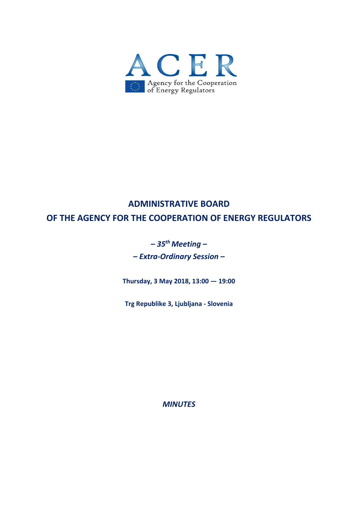

# **ADMINISTRATIVE BOARD OF THE AGENCY FOR THE COOPERATION OF ENERGY REGULATORS**

# **–** *35 th Meeting* **–**

**–** *Extra-Ordinary Session* **–**

**Thursday, 3 May 2018, 13:00 — 19:00**

**Trg Republike 3, Ljubljana - Slovenia**

*MINUTES*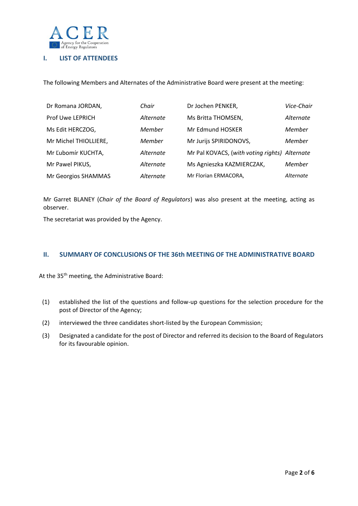

# **I. LIST OF ATTENDEES**

The following Members and Alternates of the Administrative Board were present at the meeting:

| Dr Romana JORDAN,     | Chair     | Dr Jochen PENKER,                             | Vice-Chair |
|-----------------------|-----------|-----------------------------------------------|------------|
| Prof Uwe LEPRICH      | Alternate | Ms Britta THOMSEN,                            | Alternate  |
| Ms Edit HERCZOG,      | Member    | Mr Edmund HOSKER                              | Member     |
| Mr Michel THIOLLIERE, | Member    | Mr Jurijs SPIRIDONOVS,                        | Member     |
| Mr Ľubomír KUCHTA,    | Alternate | Mr Pal KOVACS, (with voting rights) Alternate |            |
| Mr Pawel PIKUS,       | Alternate | Ms Agnieszka KAZMIERCZAK,                     | Member     |
| Mr Georgios SHAMMAS   | Alternate | Mr Florian ERMACORA,                          | Alternate  |

Mr Garret BLANEY (*Chair of the Board of Regulators*) was also present at the meeting, acting as observer.

The secretariat was provided by the Agency.

#### **II. SUMMARY OF CONCLUSIONS OF THE 36th MEETING OF THE ADMINISTRATIVE BOARD**

At the 35<sup>th</sup> meeting, the Administrative Board:

- (1) established the list of the questions and follow-up questions for the selection procedure for the post of Director of the Agency;
- (2) interviewed the three candidates short-listed by the European Commission;
- (3) Designated a candidate for the post of Director and referred its decision to the Board of Regulators for its favourable opinion.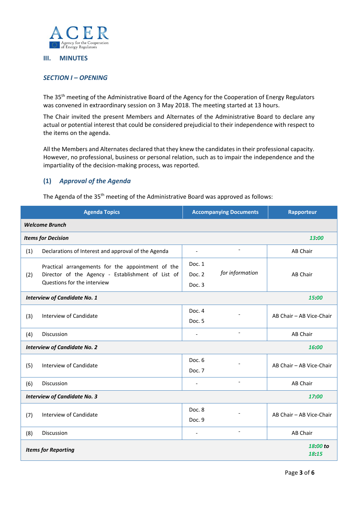

#### **III. MINUTES**

# *SECTION I – OPENING*

The 35<sup>th</sup> meeting of the Administrative Board of the Agency for the Cooperation of Energy Regulators was convened in extraordinary session on 3 May 2018. The meeting started at 13 hours.

The Chair invited the present Members and Alternates of the Administrative Board to declare any actual or potential interest that could be considered prejudicial to their independence with respect to the items on the agenda.

All the Members and Alternates declared that they knew the candidates in their professional capacity. However, no professional, business or personal relation, such as to impair the independence and the impartiality of the decision-making process, was reported.

# **(1)** *Approval of the Agenda*

The Agenda of the 35<sup>th</sup> meeting of the Administrative Board was approved as follows:

| <b>Agenda Topics</b>                            |                                                                                                                                       | <b>Accompanying Documents</b> |                          | Rapporteur               |  |  |
|-------------------------------------------------|---------------------------------------------------------------------------------------------------------------------------------------|-------------------------------|--------------------------|--------------------------|--|--|
| <b>Welcome Brunch</b>                           |                                                                                                                                       |                               |                          |                          |  |  |
| <b>Items for Decision</b><br>13:00              |                                                                                                                                       |                               |                          |                          |  |  |
| (1)                                             | Declarations of Interest and approval of the Agenda                                                                                   | $\overline{\phantom{a}}$      | $\overline{\phantom{a}}$ | AB Chair                 |  |  |
| (2)                                             | Practical arrangements for the appointment of the<br>Director of the Agency - Establishment of List of<br>Questions for the interview | Doc. 1<br>Doc. 2<br>Doc. 3    | for information          | AB Chair                 |  |  |
| <b>Interview of Candidate No. 1</b><br>15:00    |                                                                                                                                       |                               |                          |                          |  |  |
| (3)                                             | Interview of Candidate                                                                                                                | Doc. 4<br>Doc. 5              |                          | AB Chair - AB Vice-Chair |  |  |
| (4)                                             | Discussion                                                                                                                            | $\overline{\phantom{a}}$      | $\overline{\phantom{a}}$ | AB Chair                 |  |  |
| <b>Interview of Candidate No. 2</b><br>16:00    |                                                                                                                                       |                               |                          |                          |  |  |
| (5)                                             | Interview of Candidate                                                                                                                | Doc. 6<br>Doc. 7              |                          | AB Chair - AB Vice-Chair |  |  |
| (6)                                             | <b>Discussion</b>                                                                                                                     | $\overline{\phantom{a}}$      |                          | AB Chair                 |  |  |
| <b>Interview of Candidate No. 3</b><br>17.00    |                                                                                                                                       |                               |                          |                          |  |  |
| (7)                                             | Interview of Candidate                                                                                                                | Doc. 8<br>Doc. 9              |                          | AB Chair - AB Vice-Chair |  |  |
| (8)                                             | Discussion                                                                                                                            | $\overline{\phantom{a}}$      | $\tilde{\phantom{a}}$    | AB Chair                 |  |  |
| 18:00 to<br><b>Items for Reporting</b><br>18:15 |                                                                                                                                       |                               |                          |                          |  |  |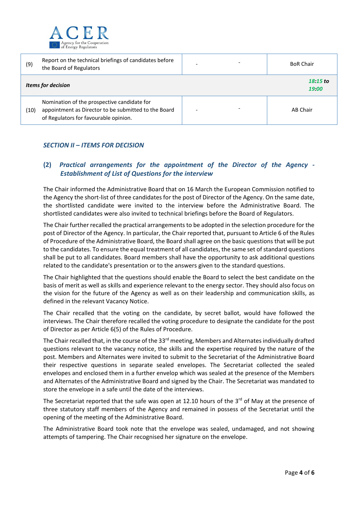

| (9)  | Report on the technical briefings of candidates before<br>the Board of Regulators                                                            | <b>BoR Chair</b>  |
|------|----------------------------------------------------------------------------------------------------------------------------------------------|-------------------|
|      | <b>Items for decision</b>                                                                                                                    | 18:15 to<br>19:00 |
| (10) | Nomination of the prospective candidate for<br>appointment as Director to be submitted to the Board<br>of Regulators for favourable opinion. | AB Chair          |

# *SECTION II – ITEMS FOR DECISION*

# **(2)** *Practical arrangements for the appointment of the Director of the Agency - Establishment of List of Questions for the interview*

The Chair informed the Administrative Board that on 16 March the European Commission notified to the Agency the short-list of three candidates for the post of Director of the Agency. On the same date, the shortlisted candidate were invited to the interview before the Administrative Board. The shortlisted candidates were also invited to technical briefings before the Board of Regulators.

The Chair further recalled the practical arrangements to be adopted in the selection procedure for the post of Director of the Agency. In particular, the Chair reported that, pursuant to Article 6 of the Rules of Procedure of the Administrative Board, the Board shall agree on the basic questions that will be put to the candidates. To ensure the equal treatment of all candidates, the same set of standard questions shall be put to all candidates. Board members shall have the opportunity to ask additional questions related to the candidate's presentation or to the answers given to the standard questions.

The Chair highlighted that the questions should enable the Board to select the best candidate on the basis of merit as well as skills and experience relevant to the energy sector. They should also focus on the vision for the future of the Agency as well as on their leadership and communication skills, as defined in the relevant Vacancy Notice.

The Chair recalled that the voting on the candidate, by secret ballot, would have followed the interviews. The Chair therefore recalled the voting procedure to designate the candidate for the post of Director as per Article 6(5) of the Rules of Procedure.

The Chair recalled that, in the course of the 33<sup>rd</sup> meeting, Members and Alternates individually drafted questions relevant to the vacancy notice, the skills and the expertise required by the nature of the post. Members and Alternates were invited to submit to the Secretariat of the Administrative Board their respective questions in separate sealed envelopes. The Secretariat collected the sealed envelopes and enclosed them in a further envelop which was sealed at the presence of the Members and Alternates of the Administrative Board and signed by the Chair. The Secretariat was mandated to store the envelope in a safe until the date of the interviews.

The Secretariat reported that the safe was open at 12.10 hours of the 3rd of May at the presence of three statutory staff members of the Agency and remained in possess of the Secretariat until the opening of the meeting of the Administrative Board.

The Administrative Board took note that the envelope was sealed, undamaged, and not showing attempts of tampering. The Chair recognised her signature on the envelope.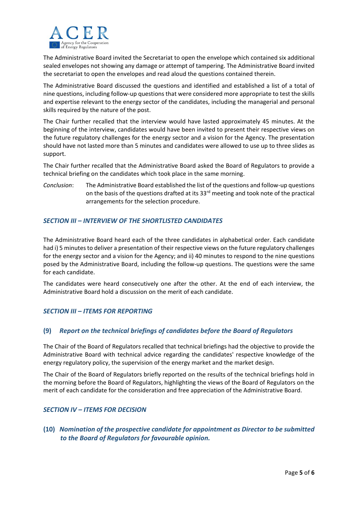

The Administrative Board invited the Secretariat to open the envelope which contained six additional sealed envelopes not showing any damage or attempt of tampering. The Administrative Board invited the secretariat to open the envelopes and read aloud the questions contained therein.

The Administrative Board discussed the questions and identified and established a list of a total of nine questions, including follow-up questions that were considered more appropriate to test the skills and expertise relevant to the energy sector of the candidates, including the managerial and personal skills required by the nature of the post.

The Chair further recalled that the interview would have lasted approximately 45 minutes. At the beginning of the interview, candidates would have been invited to present their respective views on the future regulatory challenges for the energy sector and a vision for the Agency. The presentation should have not lasted more than 5 minutes and candidates were allowed to use up to three slides as support.

The Chair further recalled that the Administrative Board asked the Board of Regulators to provide a technical briefing on the candidates which took place in the same morning.

*Conclusion*: The Administrative Board established the list of the questions and follow-up questions on the basis of the questions drafted at its  $33^{rd}$  meeting and took note of the practical arrangements for the selection procedure.

# *SECTION III – INTERVIEW OF THE SHORTLISTED CANDIDATES*

The Administrative Board heard each of the three candidates in alphabetical order. Each candidate had i) 5 minutes to deliver a presentation of their respective views on the future regulatory challenges for the energy sector and a vision for the Agency; and ii) 40 minutes to respond to the nine questions posed by the Administrative Board, including the follow-up questions. The questions were the same for each candidate.

The candidates were heard consecutively one after the other. At the end of each interview, the Administrative Board hold a discussion on the merit of each candidate.

#### *SECTION III – ITEMS FOR REPORTING*

#### **(9)** *Report on the technical briefings of candidates before the Board of Regulators*

The Chair of the Board of Regulators recalled that technical briefings had the objective to provide the Administrative Board with technical advice regarding the candidates' respective knowledge of the energy regulatory policy, the supervision of the energy market and the market design.

The Chair of the Board of Regulators briefly reported on the results of the technical briefings hold in the morning before the Board of Regulators, highlighting the views of the Board of Regulators on the merit of each candidate for the consideration and free appreciation of the Administrative Board.

#### *SECTION IV – ITEMS FOR DECISION*

**(10)** *Nomination of the prospective candidate for appointment as Director to be submitted to the Board of Regulators for favourable opinion.*